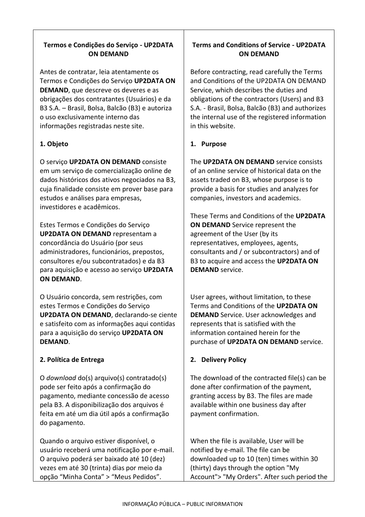### **Termos e Condições do Serviço - UP2DATA ON DEMAND**

Antes de contratar, leia atentamente os Termos e Condições do Serviço **UP2DATA ON DEMAND**, que descreve os deveres e as obrigações dos contratantes (Usuários) e da B3 S.A. – Brasil, Bolsa, Balcão (B3) e autoriza o uso exclusivamente interno das informações registradas neste site.

### **1. Objeto**

O serviço **UP2DATA ON DEMAND** consiste em um serviço de comercialização online de dados históricos dos ativos negociados na B3, cuja finalidade consiste em prover base para estudos e análises para empresas, investidores e acadêmicos.

Estes Termos e Condições do Serviço **UP2DATA ON DEMAND** representam a concordância do Usuário (por seus administradores, funcionários, prepostos, consultores e/ou subcontratados) e da B3 para aquisição e acesso ao serviço **UP2DATA ON DEMAND**.

O Usuário concorda, sem restrições, com estes Termos e Condições do Serviço **UP2DATA ON DEMAND**, declarando-se ciente e satisfeito com as informações aqui contidas para a aquisição do serviço **UP2DATA ON DEMAND**.

#### **2. Política de Entrega**

O *download* do(s) arquivo(s) contratado(s) pode ser feito após a confirmação do pagamento, mediante concessão de acesso pela B3. A disponibilização dos arquivos é feita em até um dia útil após a confirmação do pagamento.

Quando o arquivo estiver disponível, o usuário receberá uma notificação por e-mail. O arquivo poderá ser baixado até 10 (dez) vezes em até 30 (trinta) dias por meio da opção "Minha Conta" > "Meus Pedidos".

## **Terms and Conditions of Service - UP2DATA ON DEMAND**

Before contracting, read carefully the Terms and Conditions of the UP2DATA ON DEMAND Service, which describes the duties and obligations of the contractors (Users) and B3 S.A. - Brasil, Bolsa, Balcão (B3) and authorizes the internal use of the registered information in this website.

### **1. Purpose**

The **UP2DATA ON DEMAND** service consists of an online service of historical data on the assets traded on B3, whose purpose is to provide a basis for studies and analyzes for companies, investors and academics.

These Terms and Conditions of the **UP2DATA ON DEMAND** Service represent the agreement of the User (by its representatives, employees, agents, consultants and / or subcontractors) and of B3 to acquire and access the **UP2DATA ON DEMAND** service.

User agrees, without limitation, to these Terms and Conditions of the **UP2DATA ON DEMAND** Service. User acknowledges and represents that is satisfied with the information contained herein for the purchase of **UP2DATA ON DEMAND** service.

### **2. Delivery Policy**

The download of the contracted file(s) can be done after confirmation of the payment, granting access by B3. The files are made available within one business day after payment confirmation.

When the file is available, User will be notified by e-mail. The file can be downloaded up to 10 (ten) times within 30 (thirty) days through the option "My Account"> "My Orders". After such period the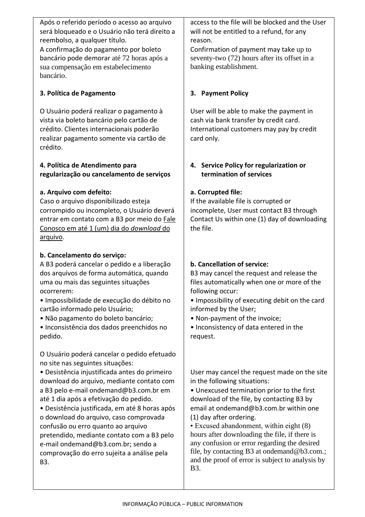Após o referido período o acesso ao arquivo será bloqueado e o Usuário não terá direito a reembolso, a qualquer título. A confirmação do pagamento por boleto bancário pode demorar até 72 horas após a sua compensação em estabelecimento bancário.

### **3. Política de Pagamento**

O Usuário poderá realizar o pagamento à vista via boleto bancário pelo cartão de crédito. Clientes internacionais poderão realizar pagamento somente via cartão de crédito.

### **4. Política de Atendimento para regularização ou cancelamento de serviços**

### **a. Arquivo com defeito:**

Caso o arquivo disponibilizado esteja corrompido ou incompleto, o Usuário deverá entrar em contato com a B3 por meio do Fale Conosco em até 1 (um) dia do *download* do arquivo.

### **b. Cancelamento do serviço:**

A B3 poderá cancelar o pedido e a liberação dos arquivos de forma automática, quando uma ou mais das seguintes situações ocorrerem:

• Impossibilidade de execução do débito no cartão informado pelo Usuário;

• Não pagamento do boleto bancário;

• Inconsistência dos dados preenchidos no pedido.

O Usuário poderá cancelar o pedido efetuado no site nas seguintes situações:

• Desistência injustificada antes do primeiro download do arquivo, mediante contato com a B3 pelo e-mail ondemand@b3.com.br em até 1 dia após a efetivação do pedido.

• Desistência justificada, em até 8 horas após o download do arquivo, caso comprovada confusão ou erro quanto ao arquivo pretendido, mediante contato com a B3 pelo e-mail ondemand@b3.com.br; sendo a comprovação do erro sujeita a análise pela B3.

access to the file will be blocked and the User will not be entitled to a refund, for any reason.

Confirmation of payment may take up to seventy-two (72) hours after its offset in a banking establishment.

# **3. Payment Policy**

User will be able to make the payment in cash via bank transfer by credit card. International customers may pay by credit card only.

## **4. Service Policy for regularization or termination of services**

## **a. Corrupted file:**

If the available file is corrupted or incomplete, User must contact B3 through Contact Us within one (1) day of downloading the file.

## **b. Cancellation of service:**

B3 may cancel the request and release the files automatically when one or more of the following occur:

- Impossibility of executing debit on the card informed by the User;
- Non-payment of the invoice;
- Inconsistency of data entered in the request.

User may cancel the request made on the site in the following situations:

• Unexcused termination prior to the first download of the file, by contacting B3 by email at ondemand@b3.com.br within one (1) day after ordering.

• Excused abandonment, within eight (8) hours after downloading the file, if there is any confusion or error regarding the desired file, by contacting B3 at ondemand@b3.com.; and the proof of error is subject to analysis by B3.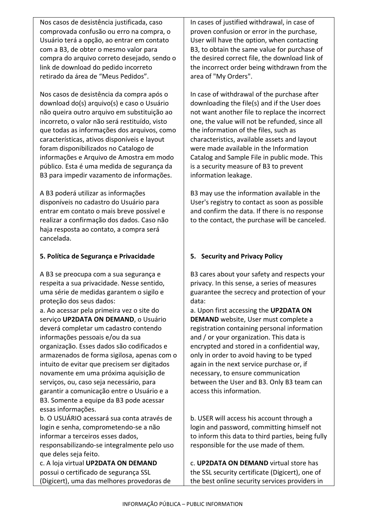Nos casos de desistência justificada, caso comprovada confusão ou erro na compra, o Usuário terá a opção, ao entrar em contato com a B3, de obter o mesmo valor para compra do arquivo correto desejado, sendo o link de download do pedido incorreto retirado da área de "Meus Pedidos".

Nos casos de desistência da compra após o download do(s) arquivo(s) e caso o Usuário não queira outro arquivo em substituição ao incorreto, o valor não será restituído, visto que todas as informações dos arquivos, como características, ativos disponíveis e layout foram disponibilizados no Catalogo de informações e Arquivo de Amostra em modo público. Esta é uma medida de segurança da B3 para impedir vazamento de informações.

A B3 poderá utilizar as informações disponíveis no cadastro do Usuário para entrar em contato o mais breve possível e realizar a confirmação dos dados. Caso não haja resposta ao contato, a compra será cancelada.

### **5. Política de Segurança e Privacidade**

A B3 se preocupa com a sua segurança e respeita a sua privacidade. Nesse sentido, uma série de medidas garantem o sigilo e proteção dos seus dados:

a. Ao acessar pela primeira vez o site do serviço **UP2DATA ON DEMAND**, o Usuário deverá completar um cadastro contendo informações pessoais e/ou da sua organização. Esses dados são codificados e armazenados de forma sigilosa, apenas com o intuito de evitar que precisem ser digitados novamente em uma próxima aquisição de serviços, ou, caso seja necessário, para garantir a comunicação entre o Usuário e a B3. Somente a equipe da B3 pode acessar essas informações.

b. O USUÁRIO acessará sua conta através de login e senha, comprometendo-se a não informar a terceiros esses dados,

responsabilizando-se integralmente pelo uso que deles seja feito.

c. A loja virtual **UP2DATA ON DEMAND**  possui o certificado de segurança SSL (Digicert), uma das melhores provedoras de

In cases of justified withdrawal, in case of proven confusion or error in the purchase, User will have the option, when contacting B3, to obtain the same value for purchase of the desired correct file, the download link of the incorrect order being withdrawn from the area of "My Orders".

In case of withdrawal of the purchase after downloading the file(s) and if the User does not want another file to replace the incorrect one, the value will not be refunded, since all the information of the files, such as characteristics, available assets and layout were made available in the Information Catalog and Sample File in public mode. This is a security measure of B3 to prevent information leakage.

B3 may use the information available in the User's registry to contact as soon as possible and confirm the data. If there is no response to the contact, the purchase will be canceled.

## **5. Security and Privacy Policy**

B3 cares about your safety and respects your privacy. In this sense, a series of measures guarantee the secrecy and protection of your data:

a. Upon first accessing the **UP2DATA ON DEMAND** website, User must complete a registration containing personal information and / or your organization. This data is encrypted and stored in a confidential way, only in order to avoid having to be typed again in the next service purchase or, if necessary, to ensure communication between the User and B3. Only B3 team can access this information.

b. USER will access his account through a login and password, committing himself not to inform this data to third parties, being fully responsible for the use made of them.

c. **UP2DATA ON DEMAND** virtual store has the SSL security certificate (Digicert), one of the best online security services providers in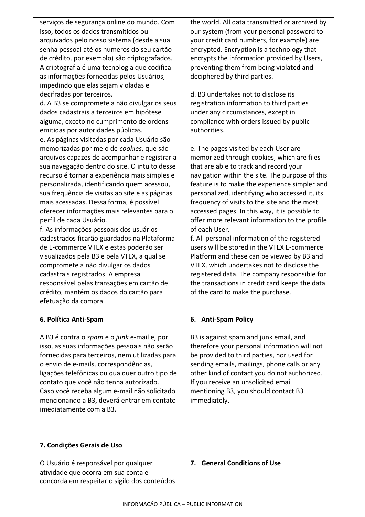serviços de segurança online do mundo. Com isso, todos os dados transmitidos ou arquivados pelo nosso sistema (desde a sua senha pessoal até os números do seu cartão de crédito, por exemplo) são criptografados. A criptografia é uma tecnologia que codifica as informações fornecidas pelos Usuários, impedindo que elas sejam violadas e decifradas por terceiros.

d. A B3 se compromete a não divulgar os seus dados cadastrais a terceiros em hipótese alguma, exceto no cumprimento de ordens emitidas por autoridades públicas.

e. As páginas visitadas por cada Usuário são memorizadas por meio de *cookies*, que são arquivos capazes de acompanhar e registrar a sua navegação dentro do site. O intuito desse recurso é tornar a experiência mais simples e personalizada, identificando quem acessou, sua frequência de visitas ao site e as páginas mais acessadas. Dessa forma, é possível oferecer informações mais relevantes para o perfil de cada Usuário.

f. As informações pessoais dos usuários cadastrados ficarão guardados na Plataforma de E-commerce VTEX e estas poderão ser visualizados pela B3 e pela VTEX, a qual se compromete a não divulgar os dados cadastrais registrados. A empresa responsável pelas transações em cartão de crédito, mantém os dados do cartão para efetuação da compra.

#### **6. Política Anti-Spam**

A B3 é contra o *spam* e o *junk* e-mail e, por isso, as suas informações pessoais não serão fornecidas para terceiros, nem utilizadas para o envio de e-mails, correspondências, ligações telefônicas ou qualquer outro tipo de contato que você não tenha autorizado. Caso você receba algum e-mail não solicitado mencionando a B3, deverá entrar em contato imediatamente com a B3.

### **7. Condições Gerais de Uso**

O Usuário é responsável por qualquer atividade que ocorra em sua conta e concorda em respeitar o sigilo dos conteúdos the world. All data transmitted or archived by our system (from your personal password to your credit card numbers, for example) are encrypted. Encryption is a technology that encrypts the information provided by Users, preventing them from being violated and deciphered by third parties.

d. B3 undertakes not to disclose its registration information to third parties under any circumstances, except in compliance with orders issued by public authorities.

e. The pages visited by each User are memorized through cookies, which are files that are able to track and record your navigation within the site. The purpose of this feature is to make the experience simpler and personalized, identifying who accessed it, its frequency of visits to the site and the most accessed pages. In this way, it is possible to offer more relevant information to the profile of each User.

f. All personal information of the registered users will be stored in the VTEX E-commerce Platform and these can be viewed by B3 and VTEX, which undertakes not to disclose the registered data. The company responsible for the transactions in credit card keeps the data of the card to make the purchase.

### **6. Anti-Spam Policy**

B3 is against spam and junk email, and therefore your personal information will not be provided to third parties, nor used for sending emails, mailings, phone calls or any other kind of contact you do not authorized. If you receive an unsolicited email mentioning B3, you should contact B3 immediately.

#### **7. General Conditions of Use**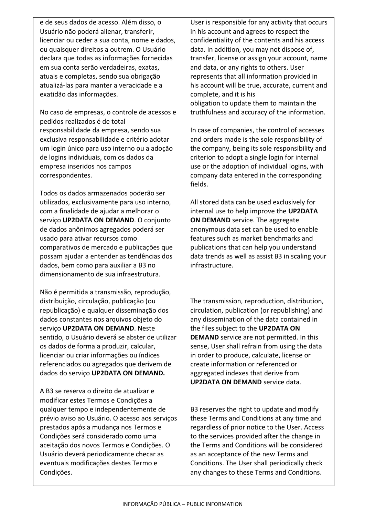e de seus dados de acesso. Além disso, o Usuário não poderá alienar, transferir, licenciar ou ceder a sua conta, nome e dados, ou quaisquer direitos a outrem. O Usuário declara que todas as informações fornecidas em sua conta serão verdadeiras, exatas, atuais e completas, sendo sua obrigação atualizá-las para manter a veracidade e a exatidão das informações.

No caso de empresas, o controle de acessos e pedidos realizados é de total responsabilidade da empresa, sendo sua exclusiva responsabilidade e critério adotar um login único para uso interno ou a adoção de logins individuais, com os dados da empresa inseridos nos campos correspondentes.

Todos os dados armazenados poderão ser utilizados, exclusivamente para uso interno, com a finalidade de ajudar a melhorar o serviço **UP2DATA ON DEMAND**. O conjunto de dados anônimos agregados poderá ser usado para ativar recursos como comparativos de mercado e publicações que possam ajudar a entender as tendências dos dados, bem como para auxiliar a B3 no dimensionamento de sua infraestrutura.

Não é permitida a transmissão, reprodução, distribuição, circulação, publicação (ou republicação) e qualquer disseminação dos dados constantes nos arquivos objeto do serviço **UP2DATA ON DEMAND**. Neste sentido, o Usuário deverá se abster de utilizar os dados de forma a produzir, calcular, licenciar ou criar informações ou índices referenciados ou agregados que derivem de dados do serviço **UP2DATA ON DEMAND.** 

A B3 se reserva o direito de atualizar e modificar estes Termos e Condições a qualquer tempo e independentemente de prévio aviso ao Usuário. O acesso aos serviços prestados após a mudança nos Termos e Condições será considerado como uma aceitação dos novos Termos e Condições. O Usuário deverá periodicamente checar as eventuais modificações destes Termo e Condições.

User is responsible for any activity that occurs in his account and agrees to respect the confidentiality of the contents and his access data. In addition, you may not dispose of, transfer, license or assign your account, name and data, or any rights to others. User represents that all information provided in his account will be true, accurate, current and complete, and it is his obligation to update them to maintain the truthfulness and accuracy of the information.

In case of companies, the control of accesses and orders made is the sole responsibility of the company, being its sole responsibility and criterion to adopt a single login for internal use or the adoption of individual logins, with company data entered in the corresponding fields.

All stored data can be used exclusively for internal use to help improve the **UP2DATA ON DEMAND** service. The aggregate anonymous data set can be used to enable features such as market benchmarks and publications that can help you understand data trends as well as assist B3 in scaling your infrastructure.

The transmission, reproduction, distribution, circulation, publication (or republishing) and any dissemination of the data contained in the files subject to the **UP2DATA ON DEMAND** service are not permitted. In this sense, User shall refrain from using the data in order to produce, calculate, license or create information or referenced or aggregated indexes that derive from **UP2DATA ON DEMAND** service data.

B3 reserves the right to update and modify these Terms and Conditions at any time and regardless of prior notice to the User. Access to the services provided after the change in the Terms and Conditions will be considered as an acceptance of the new Terms and Conditions. The User shall periodically check any changes to these Terms and Conditions.